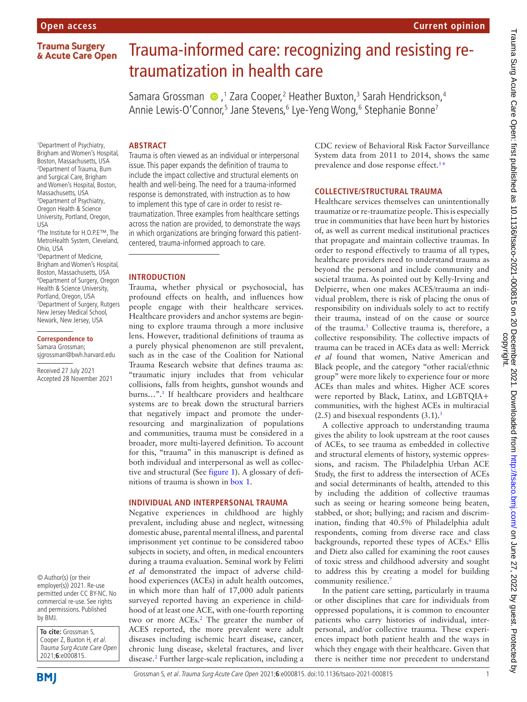# **Trauma Surgery** & Acute Care Open

# Trauma-informed care: recognizing and resisting retraumatization in health care

SamaraGrossman (D, 1 Zara Cooper, 2 Heather Buxton, 3 Sarah Hendrickson, 4 Annie Lewis-O'Connor,<sup>5</sup> Jane Stevens,<sup>6</sup> Lye-Yeng Wong,<sup>6</sup> Stephanie Bonne<sup>7</sup>

#### **ABSTRACT**

1 Department of Psychiatry, Brigham and Women's Hospital, Boston, Massachusetts, USA 2 Department of Trauma, Burn and Surgical Care, Brigham and Women's Hospital, Boston, Massachusetts, USA 3 Department of Psychiatry, Oregon Health & Science University, Portland, Oregon, USA

4 The Institute for H.O.P.E™, The MetroHealth System, Cleveland, Ohio, USA

5 Department of Medicine, Brigham and Women's Hospital, Boston, Massachusetts, USA 6 Department of Surgery, Oregon Health & Science University, Portland, Oregon, USA 7 Department of Surgery, Rutgers New Jersey Medical School, Newark, New Jersey, USA

#### **Correspondence to** Samara Grossman;

sjgrossman@bwh.harvard.edu

Received 27 July 2021 Accepted 28 November 2021

© Author(s) (or their employer(s)) 2021. Re-use permitted under CC BY-NC. No commercial re-use. See rights and permissions. Published by BMJ.

**To cite:** Grossman S, Cooper Z, Buxton H, et al. Trauma Surg Acute Care Open 2021;**6**:e000815.

**BMI** 

Trauma is often viewed as an individual or interpersonal issue. This paper expands the definition of trauma to include the impact collective and structural elements on health and well-being. The need for a trauma-informed response is demonstrated, with instruction as to how to implement this type of care in order to resist retraumatization. Three examples from healthcare settings across the nation are provided, to demonstrate the ways in which organizations are bringing forward this patientcentered, trauma-informed approach to care.

## **INTRODUCTION**

Trauma, whether physical or psychosocial, has profound effects on health, and influences how people engage with their healthcare services. Healthcare providers and anchor systems are beginning to explore trauma through a more inclusive lens. However, traditional definitions of trauma as a purely physical phenomenon are still prevalent, such as in the case of the Coalition for National Trauma Research website that defines trauma as: "traumatic injury includes that from vehicular collisions, falls from heights, gunshot wounds and burns…"[.1](#page-3-0) If healthcare providers and healthcare systems are to break down the structural barriers that negatively impact and promote the underresourcing and marginalization of populations and communities, trauma must be considered in a broader, more multi-layered definition. To account for this, "trauma" in this manuscript is defined as both individual and interpersonal as well as collective and structural (See [figure](#page-1-0) 1). A glossary of definitions of trauma is shown in [box](#page-1-1) 1.

#### **INDIVIDUAL AND INTERPERSONAL TRAUMA**

Negative experiences in childhood are highly prevalent, including abuse and neglect, witnessing domestic abuse, parental mental illness, and parental imprisonment yet continue to be considered taboo subjects in society, and often, in medical encounters during a trauma evaluation. Seminal work by Felitti *et al* demonstrated the impact of adverse childhood experiences (ACEs) in adult health outcomes, in which more than half of 17,000 adult patients surveyed reported having an experience in childhood of at least one ACE, with one-fourth reporting two or more ACEs.<sup>2</sup> The greater the number of ACES reported, the more prevalent were adult diseases including ischemic heart disease, cancer, chronic lung disease, skeletal fractures, and liver disease.[2](#page-3-1) Further large-scale replication, including a CDC review of Behavioral Risk Factor Surveillance System data from 2011 to 2014, shows the same prevalence and dose response effect.<sup>34</sup>

**Current opinion**

# **COLLECTIVE/STRUCTURAL TRAUMA**

Healthcare services themselves can unintentionally traumatize or re-traumatize people. This is especially true in communities that have been hurt by histories of, as well as current medical institutional practices that propagate and maintain collective traumas. In order to respond effectively to trauma of all types, healthcare providers need to understand trauma as beyond the personal and include community and societal trauma. As pointed out by Kelly-Irving and Delpierre, when one makes ACES/trauma an individual problem, there is risk of placing the onus of responsibility on individuals solely to act to rectify their trauma, instead of on the cause or source of the trauma.<sup>[5](#page-3-3)</sup> Collective trauma is, therefore, a collective responsibility. The collective impacts of trauma can be traced in ACEs data as well: Merrick *et al* found that women, Native American and Black people, and the category "other racial/ethnic group" were more likely to experience four or more ACEs than males and whites. Higher ACE scores were reported by Black, Latinx, and LGBTQIA+ communities, with the highest ACEs in multiracial  $(2.5)$  and bisexual respondents  $(3.1).<sup>3</sup>$ 

A collective approach to understanding trauma gives the ability to look upstream at the root causes of ACEs, to see trauma as embedded in collective and structural elements of history, systemic oppressions, and racism. The Philadelphia Urban ACE Study, the first to address the intersection of ACEs and social determinants of health, attended to this by including the addition of collective traumas such as seeing or hearing someone being beaten, stabbed, or shot; bullying; and racism and discrimination, finding that 40.5% of Philadelphia adult respondents, coming from diverse race and class backgrounds, reported these types of ACEs.<sup>6</sup> Ellis and Dietz also called for examining the root causes of toxic stress and childhood adversity and sought to address this by creating a model for building community resilience.<sup>7</sup>

In the patient care setting, particularly in trauma or other disciplines that care for individuals from oppressed populations, it is common to encounter patients who carry histories of individual, interpersonal, and/or collective trauma. These experiences impact both patient health and the ways in which they engage with their healthcare. Given that there is neither time nor precedent to understand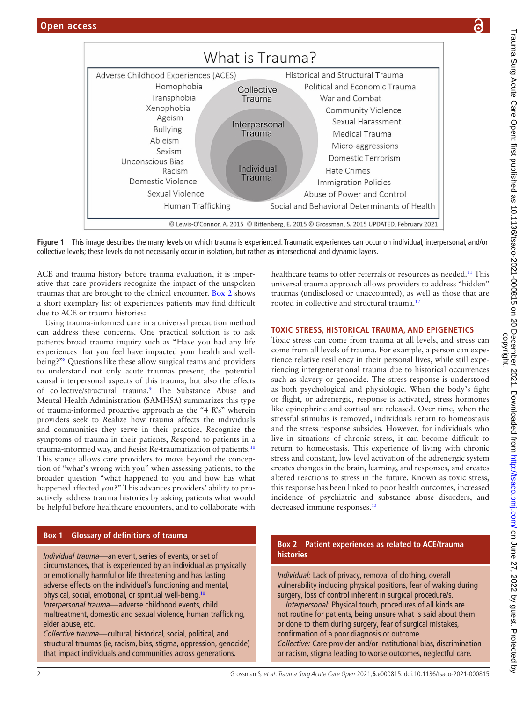

<span id="page-1-0"></span>**Figure 1** This image describes the many levels on which trauma is experienced. Traumatic experiences can occur on individual, interpersonal, and/or collective levels; these levels do not necessarily occur in isolation, but rather as intersectional and dynamic layers.

ACE and trauma history before trauma evaluation, it is imperative that care providers recognize the impact of the unspoken traumas that are brought to the clinical encounter. [Box](#page-1-2) 2 shows a short exemplary list of experiences patients may find difficult due to ACE or trauma histories:

Using trauma-informed care in a universal precaution method can address these concerns. One practical solution is to ask patients broad trauma inquiry such as "Have you had any life experiences that you feel have impacted your health and wellbeing?["8](#page-4-1) Questions like these allow surgical teams and providers to understand not only acute traumas present, the potential causal interpersonal aspects of this trauma, but also the effects of collective/structural trauma.[9](#page-4-2) The Substance Abuse and Mental Health Administration (SAMHSA) summarizes this type of trauma-informed proactive approach as the "4 R's" wherein providers seek to *R*ealize how trauma affects the individuals and communities they serve in their practice, *R*ecognize the symptoms of trauma in their patients, *R*espond to patients in a trauma-informed way, and *R*esist Re-traumatization of patients.[10](#page-4-3) This stance allows care providers to move beyond the conception of "what's wrong with you" when assessing patients, to the broader question "what happened to you and how has what happened affected you?" This advances providers' ability to proactively address trauma histories by asking patients what would be helpful before healthcare encounters, and to collaborate with

# **Box 1 Glossary of definitions of trauma**

<span id="page-1-1"></span>*Individual trauma—*an event, series of events, or set of circumstances, that is experienced by an individual as physically or emotionally harmful or life threatening and has lasting adverse effects on the individual's functioning and mental, physical, social, emotional, or spiritual well-being.[10](#page-4-3) *Interpersonal trauma—*adverse childhood events, child maltreatment, domestic and sexual violence, human trafficking, elder abuse, etc.

*Collective trauma—*cultural, historical, social, political, and structural traumas (ie, racism, bias, stigma, oppression, genocide) that impact individuals and communities across generations.

healthcare teams to offer referrals or resources as needed.<sup>11</sup> This universal trauma approach allows providers to address "hidden" traumas (undisclosed or unaccounted), as well as those that are rooted in collective and structural trauma[.12](#page-4-5)

# **TOXIC STRESS, HISTORICAL TRAUMA, AND EPIGENETICS**

Toxic stress can come from trauma at all levels, and stress can come from all levels of trauma. For example, a person can experience relative resiliency in their personal lives, while still experiencing intergenerational trauma due to historical occurrences such as slavery or genocide. The stress response is understood as both psychological and physiologic. When the body's fight or flight, or adrenergic, response is activated, stress hormones like epinephrine and cortisol are released. Over time, when the stressful stimulus is removed, individuals return to homeostasis and the stress response subsides. However, for individuals who live in situations of chronic stress, it can become difficult to return to homeostasis. This experience of living with chronic stress and constant, low level activation of the adrenergic system creates changes in the brain, learning, and responses, and creates altered reactions to stress in the future. Known as toxic stress, this response has been linked to poor health outcomes, increased incidence of psychiatric and substance abuse disorders, and decreased immune responses.<sup>13</sup>

#### **Box 2 Patient experiences as related to ACE/trauma histories**

<span id="page-1-2"></span>*Individual:* Lack of privacy, removal of clothing, overall vulnerability including physical positions, fear of waking during surgery, loss of control inherent in surgical procedure/s.

*Interpersonal*: Physical touch, procedures of all kinds are not routine for patients, being unsure what is said about them or done to them during surgery, fear of surgical mistakes, confirmation of a poor diagnosis or outcome. *Collective:* Care provider and/or institutional bias, discrimination or racism, stigma leading to worse outcomes, neglectful care.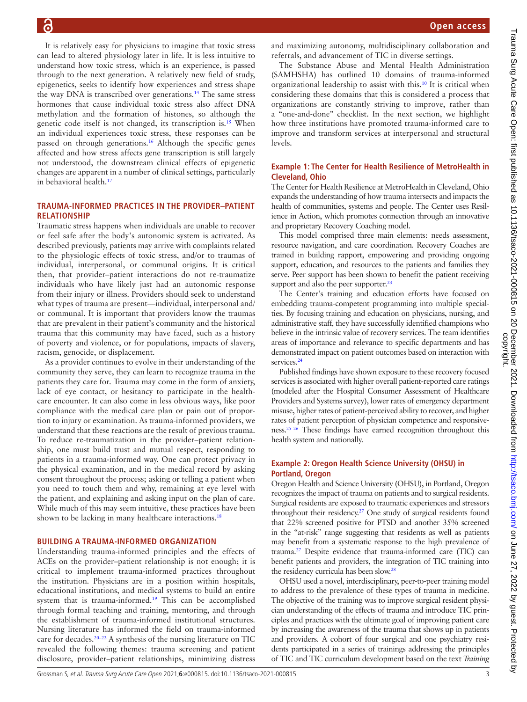It is relatively easy for physicians to imagine that toxic stress can lead to altered physiology later in life. It is less intuitive to understand how toxic stress, which is an experience, is passed through to the next generation. A relatively new field of study, epigenetics, seeks to identify how experiences and stress shape the way DNA is transcribed over generations.<sup>14</sup> The same stress hormones that cause individual toxic stress also affect DNA methylation and the formation of histones, so although the genetic code itself is not changed, its transcription is.[15](#page-4-8) When an individual experiences toxic stress, these responses can be passed on through generations.<sup>16</sup> Although the specific genes affected and how stress affects gene transcription is still largely not understood, the downstream clinical effects of epigenetic changes are apparent in a number of clinical settings, particularly in behavioral health[.17](#page-4-10)

#### **TRAUMA-INFORMED PRACTICES IN THE PROVIDER–PATIENT RELATIONSHIP**

Traumatic stress happens when individuals are unable to recover or feel safe after the body's autonomic system is activated. As described previously, patients may arrive with complaints related to the physiologic effects of toxic stress, and/or to traumas of individual, interpersonal, or communal origins. It is critical then, that provider–patient interactions do not re-traumatize individuals who have likely just had an autonomic response from their injury or illness. Providers should seek to understand what types of trauma are present—individual, interpersonal and/ or communal. It is important that providers know the traumas that are prevalent in their patient's community and the historical trauma that this community may have faced, such as a history of poverty and violence, or for populations, impacts of slavery, racism, genocide, or displacement.

As a provider continues to evolve in their understanding of the community they serve, they can learn to recognize trauma in the patients they care for. Trauma may come in the form of anxiety, lack of eye contact, or hesitancy to participate in the healthcare encounter. It can also come in less obvious ways, like poor compliance with the medical care plan or pain out of proportion to injury or examination. As trauma-informed providers, we understand that these reactions are the result of previous trauma. To reduce re-traumatization in the provider–patient relationship, one must build trust and mutual respect, responding to patients in a trauma-informed way. One can protect privacy in the physical examination, and in the medical record by asking consent throughout the process; asking or telling a patient when you need to touch them and why, remaining at eye level with the patient, and explaining and asking input on the plan of care. While much of this may seem intuitive, these practices have been shown to be lacking in many healthcare interactions.<sup>[18](#page-4-11)</sup>

#### **BUILDING A TRAUMA-INFORMED ORGANIZATION**

Understanding trauma-informed principles and the effects of ACEs on the provider–patient relationship is not enough; it is critical to implement trauma-informed practices throughout the institution. Physicians are in a position within hospitals, educational institutions, and medical systems to build an entire system that is trauma-informed.<sup>19</sup> This can be accomplished through formal teaching and training, mentoring, and through the establishment of trauma-informed institutional structures. Nursing literature has informed the field on trauma-informed care for decades[.20–22](#page-4-13) A synthesis of the nursing literature on TIC revealed the following themes: trauma screening and patient disclosure, provider–patient relationships, minimizing distress

and maximizing autonomy, multidisciplinary collaboration and referrals, and advancement of TIC in diverse settings.

The Substance Abuse and Mental Health Administration (SAMHSHA) has outlined 10 domains of trauma-informed organizational leadership to assist with this.[10](#page-4-3) It is critical when considering these domains that this is considered a process that organizations are constantly striving to improve, rather than a "one-and-done" checklist. In the next section, we highlight how three institutions have promoted trauma-informed care to improve and transform services at interpersonal and structural levels.

# **Example 1: The Center for Health Resilience of MetroHealth in Cleveland, Ohio**

The Center for Health Resilience at MetroHealth in Cleveland, Ohio expands the understanding of how trauma intersects and impacts the health of communities, systems and people. The Center uses Resilience in Action, which promotes connection through an innovative and proprietary Recovery Coaching model.

This model comprised three main elements: needs assessment, resource navigation, and care coordination. Recovery Coaches are trained in building rapport, empowering and providing ongoing support, education, and resources to the patients and families they serve. Peer support has been shown to benefit the patient receiving support and also the peer supporter.<sup>23</sup>

The Center's training and education efforts have focused on embedding trauma-competent programming into multiple specialties. By focusing training and education on physicians, nursing, and administrative staff, they have successfully identified champions who believe in the intrinsic value of recovery services. The team identifies areas of importance and relevance to specific departments and has demonstrated impact on patient outcomes based on interaction with services.<sup>24</sup>

Published findings have shown exposure to these recovery focused services is associated with higher overall patient-reported care ratings (modeled after the Hospital Consumer Assessment of Healthcare Providers and Systems survey), lower rates of emergency department misuse, higher rates of patient-perceived ability to recover, and higher rates of patient perception of physician competence and responsiveness[.25 26](#page-4-16) These findings have earned recognition throughout this health system and nationally.

## **Example 2: Oregon Health Science University (OHSU) in Portland, Oregon**

Oregon Health and Science University (OHSU), in Portland, Oregon recognizes the impact of trauma on patients and to surgical residents. Surgical residents are exposed to traumatic experiences and stressors throughout their residency[.27](#page-4-17) One study of surgical residents found that 22% screened positive for PTSD and another 35% screened in the "at-risk" range suggesting that residents as well as patients may benefit from a systematic response to the high prevalence of trauma.[27](#page-4-17) Despite evidence that trauma-informed care (TIC) can benefit patients and providers, the integration of TIC training into the residency curricula has been slow.<sup>28</sup>

OHSU used a novel, interdisciplinary, peer-to-peer training model to address to the prevalence of these types of trauma in medicine. The objective of the training was to improve surgical resident physician understanding of the effects of trauma and introduce TIC principles and practices with the ultimate goal of improving patient care by increasing the awareness of the trauma that shows up in patients and providers. A cohort of four surgical and one psychiatry residents participated in a series of trainings addressing the principles of TIC and TIC curriculum development based on the text *Training*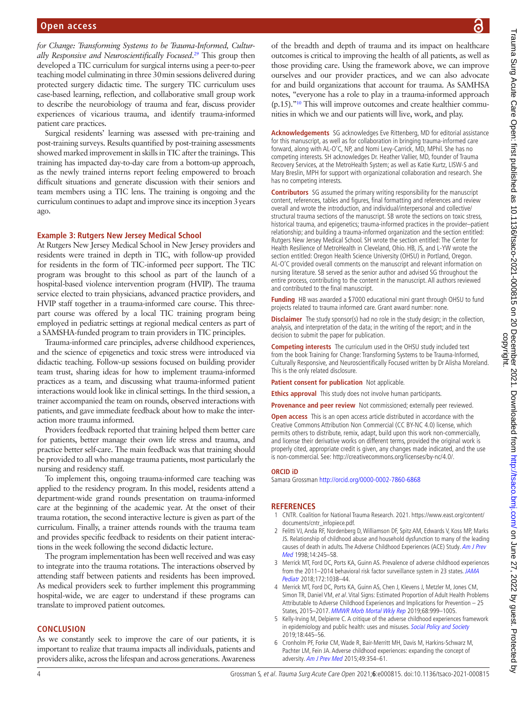*for Change: Transforming Systems to be Trauma-Informed, Culturally Responsive and Neuroscientifically Focused*. [29](#page-4-19) This group then developed a TIC curriculum for surgical interns using a peer-to-peer teaching model culminating in three 30min sessions delivered during protected surgery didactic time. The surgery TIC curriculum uses case-based learning, reflection, and collaborative small group work to describe the neurobiology of trauma and fear, discuss provider experiences of vicarious trauma, and identify trauma-informed patient care practices.

Surgical residents' learning was assessed with pre-training and post-training surveys. Results quantified by post-training assessments showed marked improvement in skills in TIC after the trainings. This training has impacted day-to-day care from a bottom-up approach, as the newly trained interns report feeling empowered to broach difficult situations and generate discussion with their seniors and team members using a TIC lens. The training is ongoing and the curriculum continues to adapt and improve since its inception 3years ago.

#### **Example 3: Rutgers New Jersey Medical School**

At Rutgers New Jersey Medical School in New Jersey providers and residents were trained in depth in TIC, with follow-up provided for residents in the form of TIC-informed peer support. The TIC program was brought to this school as part of the launch of a hospital-based violence intervention program (HVIP). The trauma service elected to train physicians, advanced practice providers, and HVIP staff together in a trauma-informed care course. This threepart course was offered by a local TIC training program being employed in pediatric settings at regional medical centers as part of a SAMSHA-funded program to train providers in TIC principles.

Trauma-informed care principles, adverse childhood experiences, and the science of epigenetics and toxic stress were introduced via didactic teaching. Follow-up sessions focused on building provider team trust, sharing ideas for how to implement trauma-informed practices as a team, and discussing what trauma-informed patient interactions would look like in clinical settings. In the third session, a trainer accompanied the team on rounds, observed interactions with patients, and gave immediate feedback about how to make the interaction more trauma informed.

Providers feedback reported that training helped them better care for patients, better manage their own life stress and trauma, and practice better self-care. The main feedback was that training should be provided to all who manage trauma patients, most particularly the nursing and residency staff.

To implement this, ongoing trauma-informed care teaching was applied to the residency program. In this model, residents attend a department-wide grand rounds presentation on trauma-informed care at the beginning of the academic year. At the onset of their trauma rotation, the second interactive lecture is given as part of the curriculum. Finally, a trainer attends rounds with the trauma team and provides specific feedback to residents on their patient interactions in the week following the second didactic lecture.

The program implementation has been well received and was easy to integrate into the trauma rotations. The interactions observed by attending staff between patients and residents has been improved. As medical providers seek to further implement this programming hospital-wide, we are eager to understand if these programs can translate to improved patient outcomes.

#### **CONCLUSION**

As we constantly seek to improve the care of our patients, it is important to realize that trauma impacts all individuals, patients and providers alike, across the lifespan and across generations. Awareness

of the breadth and depth of trauma and its impact on healthcare outcomes is critical to improving the health of all patients, as well as those providing care. Using the framework above, we can improve ourselves and our provider practices, and we can also advocate for and build organizations that account for trauma. As SAMHSA notes, "everyone has a role to play in a trauma-informed approach (p.15).["10](#page-4-3) This will improve outcomes and create healthier communities in which we and our patients will live, work, and play.

**Acknowledgements** SG acknowledges Eve Rittenberg, MD for editorial assistance for this manuscript, as well as for collaboration in bringing trauma-informed care forward, along with AL-O'C, NP, and Nomi Levy-Carrick, MD, MPhil. She has no competing interests. SH acknowledges Dr. Heather Vallier, MD, founder of Trauma Recovery Services, at the MetroHealth System; as well as Katie Kurtz, LISW-S and Mary Breslin, MPH for support with organizational collaboration and research. She has no competing interests.

**Contributors** SG assumed the primary writing responsibility for the manuscript content, references, tables and figures, final formatting and references and review overall and wrote the introduction, and individual/interpersonal and collective/ structural trauma sections of the manuscript. SB wrote the sections on toxic stress, historical trauma, and epigenetics; trauma-informed practices in the provider–patient relationship; and building a trauma-informed organization and the section entitled: Rutgers New Jersey Medical School. SH wrote the section entitled: The Center for Health Resilience of MetroHealth in Cleveland, Ohio. HB, JS, and L-YW wrote the section entitled: Oregon Health Science University (OHSU) in Portland, Oregon. AL-O'C provided overall comments on the manuscript and relevant information on nursing literature. SB served as the senior author and advised SG throughout the entire process, contributing to the content in the manuscript. All authors reviewed and contributed to the final manuscript.

**Funding** HB was awarded a \$7000 educational mini grant through OHSU to fund projects related to trauma informed care. Grant award number: none.

**Disclaimer** The study sponsor(s) had no role in the study design; in the collection, analysis, and interpretation of the data; in the writing of the report; and in the decision to submit the paper for publication.

**Competing interests** The curriculum used in the OHSU study included text from the book Training for Change: Transforming Systems to be Trauma-Informed, Culturally Responsive, and Neuroscientifically Focused written by Dr Alisha Moreland. This is the only related disclosure.

**Patient consent for publication** Not applicable.

**Ethics approval** This study does not involve human participants.

**Provenance and peer review** Not commissioned; externally peer reviewed.

**Open access** This is an open access article distributed in accordance with the Creative Commons Attribution Non Commercial (CC BY-NC 4.0) license, which permits others to distribute, remix, adapt, build upon this work non-commercially, and license their derivative works on different terms, provided the original work is properly cited, appropriate credit is given, any changes made indicated, and the use is non-commercial. See: [http://creativecommons.org/licenses/by-nc/4.0/.](http://creativecommons.org/licenses/by-nc/4.0/)

#### **ORCID iD**

Samara Grossman<http://orcid.org/0000-0002-7860-6868>

#### **REFERENCES**

- <span id="page-3-0"></span>1 CNTR. Coalition for National Trauma Research. 2021. [https://www.east.org/content/](https://www.east.org/content/documents/cntr_infopiece.pdf) [documents/cntr\\_infopiece.pdf.](https://www.east.org/content/documents/cntr_infopiece.pdf)
- <span id="page-3-1"></span>2 Felitti VJ, Anda RF, Nordenberg D, Williamson DF, Spitz AM, Edwards V, Koss MP, Marks JS. Relationship of childhood abuse and household dysfunction to many of the leading causes of death in adults. The Adverse Childhood Experiences (ACE) Study. Am J Prev [Med](http://dx.doi.org/10.1016/s0749-3797(98)00017-8) 1998;14:245–58.
- <span id="page-3-2"></span>3 Merrick MT, Ford DC, Ports KA, Guinn AS. Prevalence of adverse childhood experiences from the 2011–2014 behavioral risk factor surveillance system in 23 states. JAMA [Pediatr](http://dx.doi.org/10.1001/jamapediatrics.2018.2537) 2018;172:1038–44.
- 4 Merrick MT, Ford DC, Ports KA, Guinn AS, Chen J, Klevens J, Metzler M, Jones CM, Simon TR, Daniel VM, et al. Vital Signs: Estimated Proportion of Adult Health Problems Attributable to Adverse Childhood Experiences and Implications for Prevention – 25 States, 2015–2017. [MMWR Morb Mortal Wkly Rep](http://dx.doi.org/10.15585/mmwr.mm6844e1) 2019;68:999–1005.
- <span id="page-3-3"></span>5 Kelly-Irving M, Delpierre C. A critique of the adverse childhood experiences framework in epidemiology and public health: uses and misuses. [Social Policy and Society](http://dx.doi.org/10.1017/S1474746419000101) 2019;18:445–56.
- <span id="page-3-4"></span>6 Cronholm PF, Forke CM, Wade R, Bair-Merritt MH, Davis M, Harkins-Schwarz M, Pachter LM, Fein JA. Adverse childhood experiences: expanding the concept of adversity. [Am J Prev Med](http://dx.doi.org/10.1016/j.amepre.2015.02.001) 2015;49:354–61.